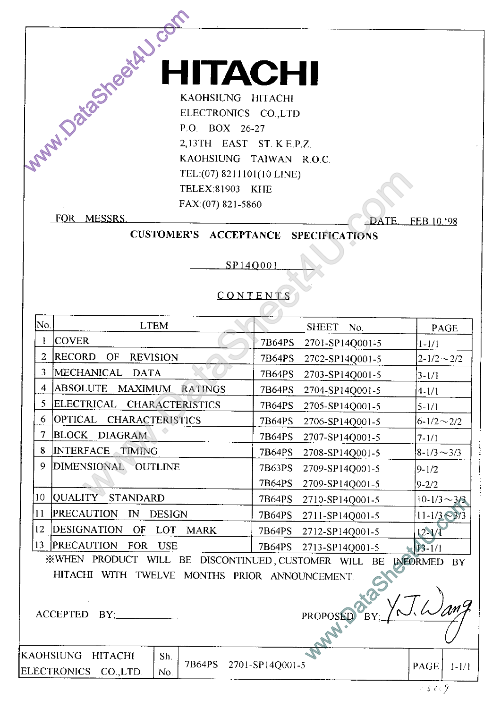# **TACHI**

WAW.DataSheet HILICONICS CO.LTD ELECTRONICS CO.LTD P.O. BOX 26-27<br>ELECTRONICS CO.LTD P.O. BOX 26-27<br>KAOHSIUNG TAIWAN R.O.C.<br>TEL.(07) 8211101(10 LINE)

|                 | TEL:(07) 8211101(10 LINE)                                       |                                  |                                     |
|-----------------|-----------------------------------------------------------------|----------------------------------|-------------------------------------|
|                 | TELEX:81903 KHE                                                 |                                  |                                     |
|                 | FAX:(07) 821-5860                                               |                                  |                                     |
|                 | FOR MESSRS                                                      | <b>DATE</b>                      | FEB.10.'98                          |
|                 | <b>CUSTOMER'S ACCEPTANCE</b>                                    | <b>SPECIFICATIONS</b>            |                                     |
|                 |                                                                 |                                  |                                     |
|                 |                                                                 | SP140001                         |                                     |
|                 |                                                                 |                                  |                                     |
|                 |                                                                 | CONTENTS                         |                                     |
|                 |                                                                 |                                  |                                     |
| No.             | <b>LTEM</b>                                                     | <b>SHEET</b><br>No.              | PAGE                                |
| $\mathbf{I}$    | <b>COVER</b>                                                    | 7B64PS<br>2701-SP14Q001-5        | $1 - 1/1$                           |
| $\overline{2}$  | <b>RECORD</b><br>OF<br><b>REVISION</b>                          | 7B64PS<br>2702-SP14Q001-5        | $2 - 1/2 \sim 2/2$                  |
| $\mathbf{3}$    | MECHANICAL<br><b>DATA</b>                                       | <b>7B64PS</b><br>2703-SP14Q001-5 | $3 - 1/1$                           |
| $\overline{4}$  | ABSOLUTE<br>MAXIMUM RATINGS                                     | 7B64PS<br>2704-SP14Q001-5        | $4 - 1/1$                           |
| 5 <sup>1</sup>  | ELECTRICAL<br><b>CHARACTERISTICS</b>                            | 7B64PS<br>2705-SP14Q001-5        | $5 - 1/1$                           |
| 6               | OPTICAL <br><b>CHARACTERISTICS</b>                              | 7B64PS<br>2706-SP14Q001-5        | $6 - 1/2 \sim 2/2$                  |
| $\tau$          | BLOCK DIAGRAM                                                   | 7B64PS<br>2707-SP14Q001-5        | $7 - 1/1$                           |
| 8               | INTERFACE TIMING                                                | 7B64PS<br>2708-SP14Q001-5        | $8 - 1/3 \sim 3/3$                  |
| 9.              | DIMENSIONAL OUTLINE                                             | 7B63PS<br>2709-SP14Q001-5        | $9 - 1/2$                           |
|                 |                                                                 | 7B64PS<br>2709-SP14Q001-5        | $9 - 2/2$                           |
| 10 <sup>°</sup> | QUALITY STANDARD                                                | 7B64PS<br>2710-SP14Q001-5        | $10 - 1/3 \sim 3/3$                 |
| 11              | PRECAUTION<br>$\mathbb{N}$<br><b>DESIGN</b>                     | 7B64PS<br>2711-SP14Q001-5        | $11 - \frac{1}{3} \geq \frac{3}{3}$ |
| 12              | DESIGNATION OF<br><b>LOT</b><br><b>MARK</b>                     | 7B64PS<br>2712-SP14Q001-5        | $12 - 1/1$                          |
|                 | 13 PRECAUTION<br>FOR USE                                        | $7B64PS$ 2713-SP14Q001-5         | 1/1                                 |
|                 | WHEN PRODUCT WILL BE DISCONTINUED, CUSTOMER WILL BE INFORMED BY |                                  |                                     |
|                 | HITACHI WITH TWELVE MONTHS PRIOR ANNOUNCEMENT.                  |                                  |                                     |
|                 |                                                                 |                                  |                                     |
|                 | ACCEPTED BY;                                                    |                                  |                                     |
|                 |                                                                 |                                  |                                     |
|                 |                                                                 | PROPOSED BY, L.T. Wang           |                                     |
|                 | AOHSIUNG<br><b>HITACHI</b><br>Sh.                               |                                  |                                     |

KAOHSIUNG HITACHI Sh. ELECTRONICS CO., LTD. No.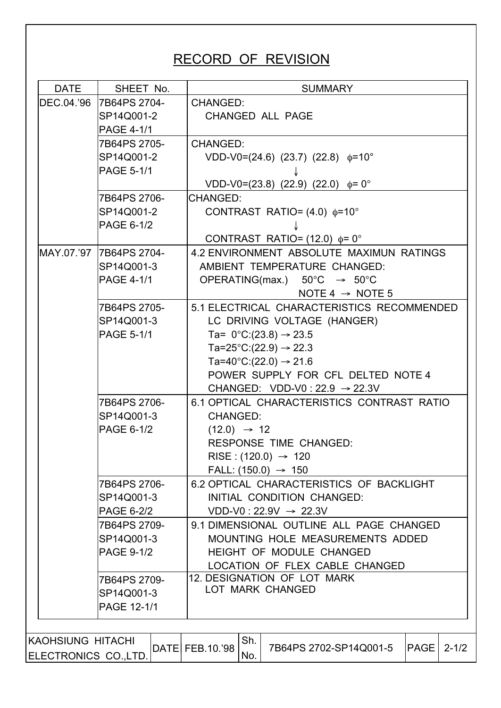### RECORD OF REVISION

| <b>DATE</b>       | SHEET No.                                                  | <b>SUMMARY</b>                                                                                                                                                |  |  |  |  |  |  |  |
|-------------------|------------------------------------------------------------|---------------------------------------------------------------------------------------------------------------------------------------------------------------|--|--|--|--|--|--|--|
|                   | DEC.04.'96 7B64PS 2704-<br>SP14Q001-2<br><b>PAGE 4-1/1</b> | <b>CHANGED:</b><br><b>CHANGED ALL PAGE</b>                                                                                                                    |  |  |  |  |  |  |  |
|                   | 7B64PS 2705-<br>SP14Q001-2<br><b>PAGE 5-1/1</b>            | <b>CHANGED:</b><br>$VDD-V0=(24.6)$ (23.7) (22.8) $\phi=10^{\circ}$                                                                                            |  |  |  |  |  |  |  |
|                   |                                                            | VDD-V0=(23.8) (22.9) (22.0) $\phi$ = 0°                                                                                                                       |  |  |  |  |  |  |  |
|                   | 7B64PS 2706-<br>SP14Q001-2<br>PAGE 6-1/2                   | <b>CHANGED:</b><br>CONTRAST RATIO= $(4.0)$ $\phi=10^{\circ}$                                                                                                  |  |  |  |  |  |  |  |
|                   | MAY.07.'97 7B64PS 2704-<br>SP14Q001-3                      | CONTRAST RATIO= $(12.0)$ $\phi = 0^{\circ}$<br>4.2 ENVIRONMENT ABSOLUTE MAXIMUN RATINGS<br>AMBIENT TEMPERATURE CHANGED:                                       |  |  |  |  |  |  |  |
|                   | <b>PAGE 4-1/1</b>                                          | OPERATING(max.) $50^{\circ}$ C $\rightarrow$ 50°C<br>NOTE 4 $\rightarrow$ NOTE 5                                                                              |  |  |  |  |  |  |  |
|                   | 7B64PS 2705-<br>SP14Q001-3<br><b>PAGE 5-1/1</b>            | 5.1 ELECTRICAL CHARACTERISTICS RECOMMENDED<br>LC DRIVING VOLTAGE (HANGER)<br>Ta= $0^{\circ}$ C:(23.8) $\rightarrow$ 23.5<br>Ta=25°C:(22.9) $\rightarrow$ 22.3 |  |  |  |  |  |  |  |
|                   |                                                            | Ta=40°C: $(22.0) \rightarrow 21.6$<br>POWER SUPPLY FOR CFL DELTED NOTE 4<br>CHANGED: VDD-V0 : 22.9 $\rightarrow$ 22.3V                                        |  |  |  |  |  |  |  |
|                   | 7B64PS 2706-<br>SP14Q001-3                                 | 6.1 OPTICAL CHARACTERISTICS CONTRAST RATIO<br><b>CHANGED:</b>                                                                                                 |  |  |  |  |  |  |  |
|                   | PAGE 6-1/2                                                 | $(12.0) \rightarrow 12$<br><b>RESPONSE TIME CHANGED:</b><br>RISE : $(120.0) \rightarrow 120$<br>FALL: $(150.0) \rightarrow 150$                               |  |  |  |  |  |  |  |
|                   | 7B64PS 2706-<br>SP14Q001-3<br>PAGE 6-2/2                   | 6.2 OPTICAL CHARACTERISTICS OF BACKLIGHT<br>INITIAL CONDITION CHANGED:<br>$VDD-V0$ : 22.9V $\rightarrow$ 22.3V                                                |  |  |  |  |  |  |  |
|                   | 7B64PS 2709-<br>SP14Q001-3<br><b>PAGE 9-1/2</b>            | 9.1 DIMENSIONAL OUTLINE ALL PAGE CHANGED<br>MOUNTING HOLE MEASUREMENTS ADDED<br>HEIGHT OF MODULE CHANGED<br>LOCATION OF FLEX CABLE CHANGED                    |  |  |  |  |  |  |  |
|                   | 7B64PS 2709-<br>SP14Q001-3<br>PAGE 12-1/1                  | 12. DESIGNATION OF LOT MARK<br>LOT MARK CHANGED                                                                                                               |  |  |  |  |  |  |  |
| KAOHSIUNG HITACHI | ELECTRONICS CO.,LTD.                                       | Sh.<br>DATE FEB.10.'98<br>7B64PS 2702-SP14Q001-5<br>PAGE<br>$2 - 1/2$<br>No.                                                                                  |  |  |  |  |  |  |  |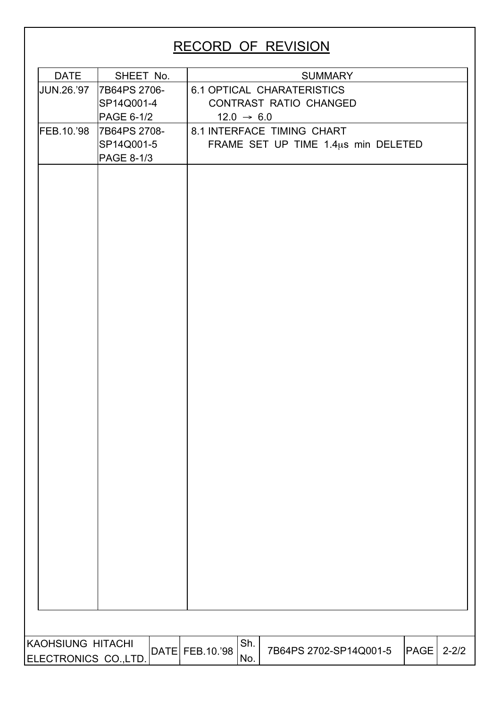### RECORD OF REVISION

| <b>DATE</b>          | SHEET No.    |                 |                        |                                     | <b>SUMMARY</b> |             |           |
|----------------------|--------------|-----------------|------------------------|-------------------------------------|----------------|-------------|-----------|
| <b>JUN.26.'97</b>    | 7B64PS 2706- |                 |                        | <b>6.1 OPTICAL CHARATERISTICS</b>   |                |             |           |
|                      | SP14Q001-4   |                 |                        | CONTRAST RATIO CHANGED              |                |             |           |
|                      | PAGE 6-1/2   |                 | $12.0 \rightarrow 6.0$ |                                     |                |             |           |
| FEB.10.'98           | 7B64PS 2708- |                 |                        | 8.1 INTERFACE TIMING CHART          |                |             |           |
|                      | SP14Q001-5   |                 |                        | FRAME SET UP TIME 1.4us min DELETED |                |             |           |
|                      | PAGE 8-1/3   |                 |                        |                                     |                |             |           |
|                      |              |                 |                        |                                     |                |             |           |
|                      |              |                 |                        |                                     |                |             |           |
|                      |              |                 |                        |                                     |                |             |           |
|                      |              |                 |                        |                                     |                |             |           |
|                      |              |                 |                        |                                     |                |             |           |
|                      |              |                 |                        |                                     |                |             |           |
|                      |              |                 |                        |                                     |                |             |           |
|                      |              |                 |                        |                                     |                |             |           |
|                      |              |                 |                        |                                     |                |             |           |
|                      |              |                 |                        |                                     |                |             |           |
|                      |              |                 |                        |                                     |                |             |           |
|                      |              |                 |                        |                                     |                |             |           |
|                      |              |                 |                        |                                     |                |             |           |
|                      |              |                 |                        |                                     |                |             |           |
|                      |              |                 |                        |                                     |                |             |           |
|                      |              |                 |                        |                                     |                |             |           |
|                      |              |                 |                        |                                     |                |             |           |
|                      |              |                 |                        |                                     |                |             |           |
|                      |              |                 |                        |                                     |                |             |           |
|                      |              |                 |                        |                                     |                |             |           |
|                      |              |                 |                        |                                     |                |             |           |
|                      |              |                 |                        |                                     |                |             |           |
|                      |              |                 |                        |                                     |                |             |           |
|                      |              |                 |                        |                                     |                |             |           |
|                      |              |                 |                        |                                     |                |             |           |
|                      |              |                 |                        |                                     |                |             |           |
|                      |              |                 |                        |                                     |                |             |           |
|                      |              |                 |                        |                                     |                |             |           |
|                      |              |                 |                        |                                     |                |             |           |
|                      |              |                 |                        |                                     |                |             |           |
|                      |              |                 |                        |                                     |                |             |           |
|                      |              |                 |                        |                                     |                |             |           |
|                      |              |                 |                        |                                     |                |             |           |
|                      |              |                 |                        |                                     |                |             |           |
|                      |              |                 |                        |                                     |                |             |           |
| KAOHSIUNG HITACHI    |              | DATE FEB.10.'98 | Sh.                    | 7B64PS 2702-SP14Q001-5              |                | <b>PAGE</b> | $2 - 2/2$ |
| ELECTRONICS CO.,LTD. |              |                 | No.                    |                                     |                |             |           |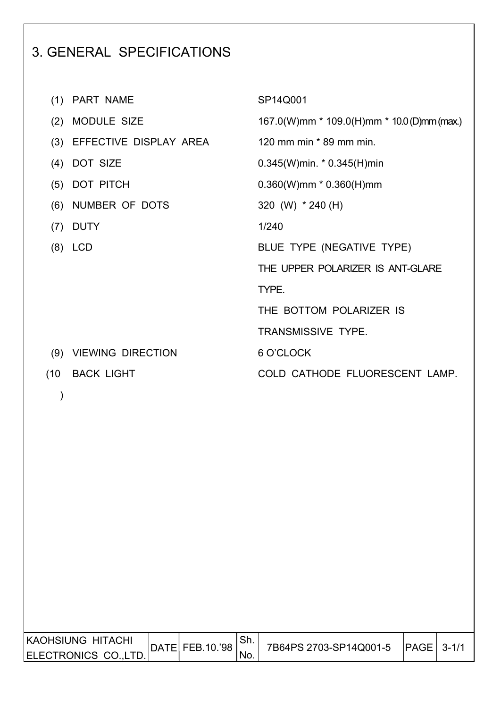### 3. GENERAL SPECIFICATIONS

|      | (1) PART NAME          | SP14Q001                                   |
|------|------------------------|--------------------------------------------|
| (2)  | MODULE SIZE            | 167.0(W)mm * 109.0(H)mm * 10.0(D)mm (max.) |
| (3)  | EFFECTIVE DISPLAY AREA | 120 mm min * 89 mm min.                    |
| (4)  | DOT SIZE               | $0.345(W)$ min. * 0.345(H)min              |
| (5)  | DOT PITCH              | $0.360(W)$ mm * $0.360(H)$ mm              |
| (6)  | NUMBER OF DOTS         | 320 (W) * 240 (H)                          |
| (7)  | <b>DUTY</b>            | 1/240                                      |
|      | $(8)$ LCD              | BLUE TYPE (NEGATIVE TYPE)                  |
|      |                        | THE UPPER POLARIZER IS ANT-GLARE           |
|      |                        | TYPE.                                      |
|      |                        | THE BOTTOM POLARIZER IS                    |
|      |                        | <b>TRANSMISSIVE TYPE.</b>                  |
|      | (9) VIEWING DIRECTION  | 6 O'CLOCK                                  |
| (10) | <b>BACK LIGHT</b>      | COLD CATHODE FLUORESCENT LAMP.             |
|      |                        |                                            |

| IKAOHSIUNG HITACHI  | DATE FEB.10.'98 | ' ञा. | 7B64PS 2703-SP14Q001-5 | $ PAGE $ 3-1/ |  |
|---------------------|-----------------|-------|------------------------|---------------|--|
| IELECTRONICS COLTD. |                 | 'No.  |                        |               |  |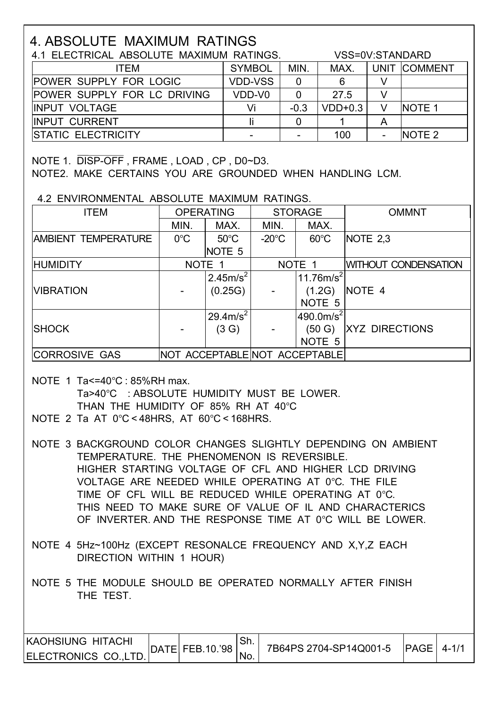### 4. ABSOLUTE MAXIMUM RATINGS

| 4.1 ELECTRICAL ABSOLUTE MAXIMUM RATINGS. |                | VSS=0V:STANDARD |           |   |               |
|------------------------------------------|----------------|-----------------|-----------|---|---------------|
| <b>ITEM</b>                              | <b>SYMBOL</b>  | MIN.            | MAX.      |   | UNIT COMMENT  |
| <b>POWER SUPPLY FOR LOGIC</b>            | <b>VDD-VSS</b> | 0               |           |   |               |
| <b>POWER SUPPLY FOR LC DRIVING</b>       | VDD-V0         |                 | 27.5      |   |               |
| <b>IINPUT VOLTAGE</b>                    | Vi             | $-0.3$          | $VDD+0.3$ |   | <b>NOTE 1</b> |
| <b>IINPUT CURRENT</b>                    |                |                 |           | A |               |
| <b>ISTATIC ELECTRICITY</b>               |                |                 | 100       |   | <b>NOTE 2</b> |

NOTE 1. DISP-OFF , FRAME , LOAD , CP , D0~D3.

NOTE2. MAKE CERTAINS YOU ARE GROUNDED WHEN HANDLING LCM.

4.2 ENVIRONMENTAL ABSOLUTE MAXIMUM RATINGS.

| <b>ITEM</b>                | <b>OPERATING</b> |                      | <b>STORAGE</b>  |                               | <b>OMMNT</b>                |
|----------------------------|------------------|----------------------|-----------------|-------------------------------|-----------------------------|
|                            | MIN.             | MAX.                 | MIN.            | MAX.                          |                             |
| <b>AMBIENT TEMPERATURE</b> | $0^{\circ}$ C    | $50^{\circ}$ C       | $-20^{\circ}$ C | $60^{\circ}$ C                | NOTE 2.3                    |
|                            |                  | NOTE <sub>5</sub>    |                 |                               |                             |
| <b>HUMIDITY</b>            |                  | NOTE 1               |                 | NOTE 1                        | <b>WITHOUT CONDENSATION</b> |
|                            |                  | 2.45m/s <sup>2</sup> |                 | 11.76 $m/s^2$                 |                             |
| <b>VIBRATION</b>           |                  | (0.25G)              |                 | (1.2G)                        | NOTE 4                      |
|                            |                  |                      |                 | NOTE <sub>5</sub>             |                             |
|                            |                  | $29.4 \text{m/s}^2$  |                 | $490.0$ m/s <sup>2</sup>      |                             |
| <b>SHOCK</b>               |                  | (3 G)                |                 | (50 G)                        | <b>XYZ DIRECTIONS</b>       |
|                            |                  |                      |                 | NOTE 5                        |                             |
| <b>CORROSIVE GAS</b>       |                  |                      |                 | NOT ACCEPTABLE NOT ACCEPTABLE |                             |

- NOTE 1 Ta<=40°C : 85%RH max. Ta>40°C : ABSOLUTE HUMIDITY MUST BE LOWER. THAN THE HUMIDITY OF 85% RH AT 40°C
- NOTE 2 Ta AT 0°C < 48HRS, AT 60°C < 168HRS.

 NOTE 3 BACKGROUND COLOR CHANGES SLIGHTLY DEPENDING ON AMBIENT TEMPERATURE. THE PHENOMENON IS REVERSIBLE. HIGHER STARTING VOLTAGE OF CFL AND HIGHER LCD DRIVING VOLTAGE ARE NEEDED WHILE OPERATING AT 0°C. THE FILE TIME OF CFL WILL BE REDUCED WHILE OPERATING AT 0°C. THIS NEED TO MAKE SURE OF VALUE OF IL AND CHARACTERICS OF INVERTER. AND THE RESPONSE TIME AT 0°C WILL BE LOWER.

- NOTE 4 5Hz~100Hz (EXCEPT RESONALCE FREQUENCY AND X,Y,Z EACH DIRECTION WITHIN 1 HOUR)
- NOTE 5 THE MODULE SHOULD BE OPERATED NORMALLY AFTER FINISH THE TEST.

| KAOHSIUNG HITACHI    | DATE  FEB.10.'98 |      | 7B64PS 2704-SP14Q001-5 | $ PAGE $ 4-1/ |  |
|----------------------|------------------|------|------------------------|---------------|--|
| ELECTRONICS CO.,LTD. |                  | 'NO. |                        |               |  |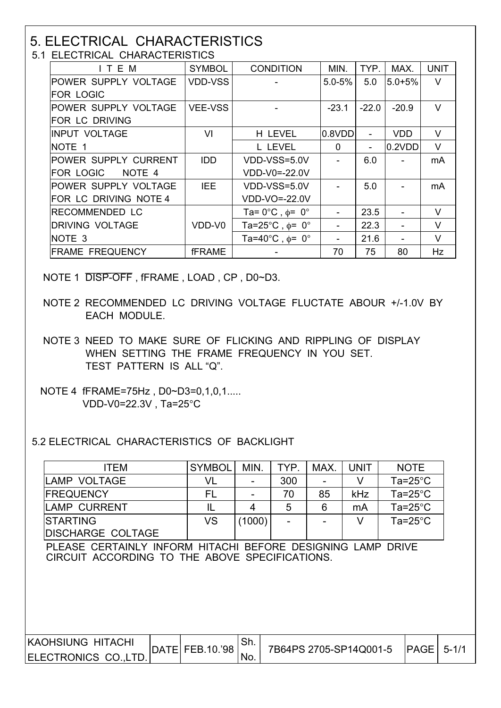## 5. ELECTRICAL CHARACTERISTICS<br>5.1 ELECTRICAL CHARACTERISTICS

| ITEM                        | <b>SYMBOL</b>  | <b>CONDITION</b>                          | MIN.        | TYP.    | MAX.       | <b>UNIT</b> |
|-----------------------------|----------------|-------------------------------------------|-------------|---------|------------|-------------|
| POWER SUPPLY VOLTAGE        | <b>VDD-VSS</b> |                                           | $5.0 - 5%$  | 5.0     | $5.0 + 5%$ | $\vee$      |
| <b>FOR LOGIC</b>            |                |                                           |             |         |            |             |
| POWER SUPPLY VOLTAGE        | <b>VEE-VSS</b> |                                           | $-23.1$     | $-22.0$ | $-20.9$    | $\vee$      |
| FOR LC DRIVING              |                |                                           |             |         |            |             |
| <b>INPUT VOLTAGE</b>        | VI             | H LEVEL                                   | 0.8VDD      |         | <b>VDD</b> | V           |
| <b>NOTE 1</b>               |                | L LEVEL                                   | $\mathbf 0$ |         | 0.2VDD     | $\vee$      |
| <b>POWER SUPPLY CURRENT</b> | <b>IDD</b>     | VDD-VSS=5.0V                              |             | 6.0     |            | mA          |
| <b>FOR LOGIC</b><br>NOTE 4  |                | VDD-V0=-22.0V                             |             |         |            |             |
| POWER SUPPLY VOLTAGE        | <b>IEE</b>     | VDD-VSS=5.0V                              |             | 5.0     |            | mA          |
| FOR LC DRIVING NOTE 4       |                | VDD-VO=-22.0V                             |             |         |            |             |
| IRECOMMENDED LC             |                | Ta= $0^{\circ}$ C, $\phi$ = $0^{\circ}$   |             | 23.5    |            | V           |
| DRIVING VOLTAGE             | VDD-V0         | Ta=25°C, $\phi$ = 0°                      |             | 22.3    |            | V           |
| NOTE <sub>3</sub>           |                | Ta=40 $^{\circ}$ C, $\phi$ = 0 $^{\circ}$ |             | 21.6    |            | $\vee$      |
| <b>FRAME FREQUENCY</b>      | <b>fFRAME</b>  |                                           | 70          | 75      | 80         | Hz          |

NOTE 1 DISP-OFF , fFRAME , LOAD , CP , D0~D3.

- NOTE 2 RECOMMENDED LC DRIVING VOLTAGE FLUCTATE ABOUR +/-1.0V BY EACH MODULE.
- NOTE 3 NEED TO MAKE SURE OF FLICKING AND RIPPLING OF DISPLAY WHEN SETTING THE FRAME FREQUENCY IN YOU SET. TEST PATTERN IS ALL "Q".
- NOTE 4 fFRAME=75Hz , D0~D3=0,1,0,1..... VDD-V0=22.3V , Ta=25°C

5.2 ELECTRICAL CHARACTERISTICS OF BACKLIGHT

| <b>ITEM</b>                                                                                                   | <b>SYMBOL</b>   | MIN.       | TYP. | MAX. | <b>UNIT</b>            | <b>NOTE</b>        |           |
|---------------------------------------------------------------------------------------------------------------|-----------------|------------|------|------|------------------------|--------------------|-----------|
| <b>LAMP VOLTAGE</b>                                                                                           | VL              |            | 300  |      | V                      | $Ta = 25^{\circ}C$ |           |
| <b>FREQUENCY</b>                                                                                              | FL              |            | 70   | 85   | kHz                    | Ta=25 $^{\circ}$ C |           |
| <b>LAMP CURRENT</b>                                                                                           | IL              | 4          | 5    | 6    | mA                     | Ta= $25^{\circ}$ C |           |
| <b>STARTING</b>                                                                                               | <b>VS</b>       | (1000)     |      |      | V                      | $Ta = 25^{\circ}C$ |           |
| <b>DISCHARGE COLTAGE</b>                                                                                      |                 |            |      |      |                        |                    |           |
| PLEASE CERTAINLY INFORM HITACHI BEFORE DESIGNING LAMP DRIVE<br>CIRCUIT ACCORDING TO THE ABOVE SPECIFICATIONS. |                 |            |      |      |                        |                    |           |
| <b>KAOHSIUNG HITACHI</b><br>ELECTRONICS CO., LTD.                                                             | DATE FEB.10.'98 | Sh.<br>No. |      |      | 7B64PS 2705-SP14Q001-5 | <b>PAGE</b>        | $5 - 1/1$ |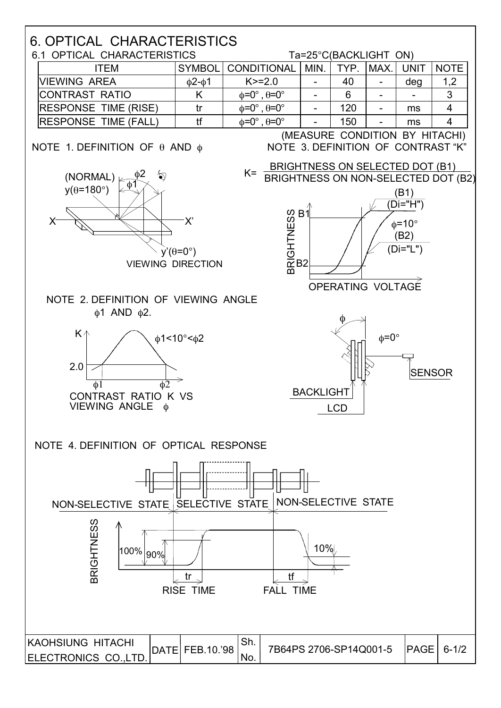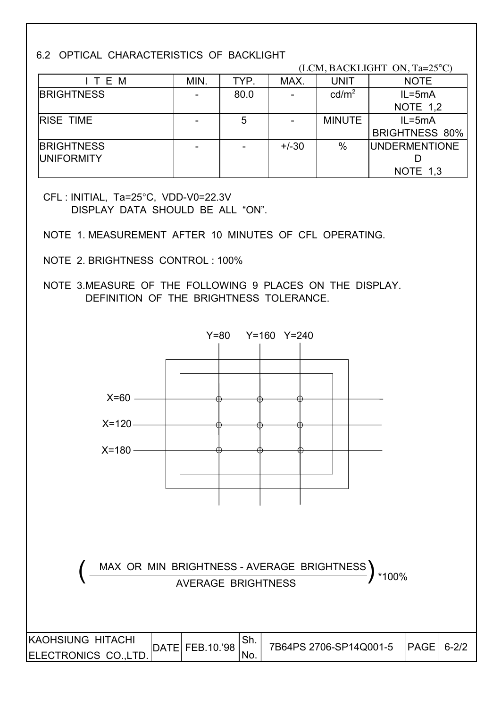#### 6.2 OPTICAL CHARACTERISTICS OF BACKLIGHT

|                   |      | (LCM, BACKLIGHT ON, Ta=25°C) |         |                   |                       |  |  |  |  |
|-------------------|------|------------------------------|---------|-------------------|-----------------------|--|--|--|--|
| ITEM              | MIN. | TYP.                         | MAX.    | <b>UNIT</b>       | <b>NOTE</b>           |  |  |  |  |
| <b>BRIGHTNESS</b> |      | 80.0                         |         | cd/m <sup>2</sup> | $IL = 5mA$            |  |  |  |  |
|                   |      |                              |         |                   | <b>NOTE 1,2</b>       |  |  |  |  |
| <b>IRISE TIME</b> |      | 5                            |         | <b>MINUTE</b>     | $IL = 5mA$            |  |  |  |  |
|                   |      |                              |         |                   | <b>BRIGHTNESS 80%</b> |  |  |  |  |
| <b>BRIGHTNESS</b> |      |                              | $+/-30$ | $\%$              | <b>UNDERMENTIONE</b>  |  |  |  |  |
| <b>UNIFORMITY</b> |      |                              |         |                   |                       |  |  |  |  |
|                   |      |                              |         |                   | NOTE 1,3              |  |  |  |  |

 CFL : INITIAL, Ta=25°C, VDD-V0=22.3V DISPLAY DATA SHOULD BE ALL "ON".

- NOTE 1. MEASUREMENT AFTER 10 MINUTES OF CFL OPERATING.
- NOTE 2. BRIGHTNESS CONTROL : 100%
- NOTE 3.MEASURE OF THE FOLLOWING 9 PLACES ON THE DISPLAY. DEFINITION OF THE BRIGHTNESS TOLERANCE.

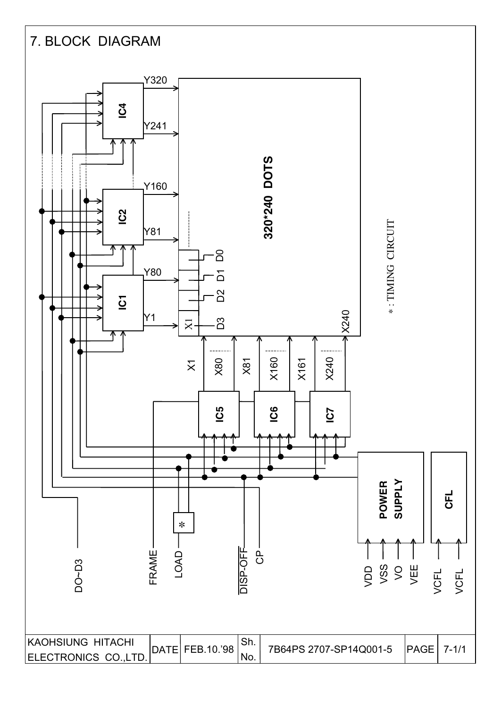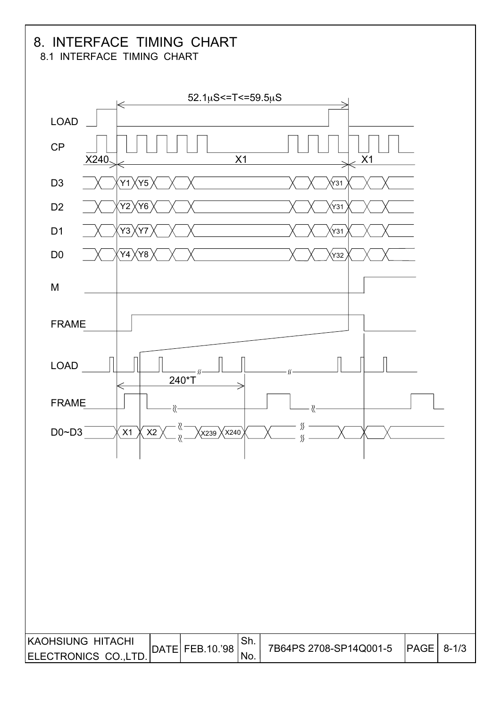### 8. INTERFACE TIMING CHART

8.1 INTERFACE TIMING CHART

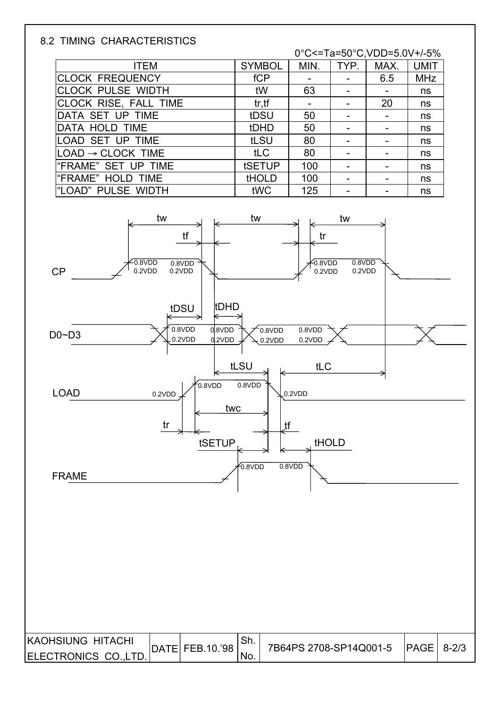#### 8.2 TIMING CHARACTERISTICS

0°C<=Ta=50°C,VDD=5.0V+/-5%

| <b>ITEM</b>                   | <b>SYMBOL</b> | MIN. | TYP. | MAX. | <b>UMIT</b> |
|-------------------------------|---------------|------|------|------|-------------|
| <b>CLOCK FREQUENCY</b>        | fCP           |      |      | 6.5  | <b>MHz</b>  |
| <b>CLOCK PULSE WIDTH</b>      | tW            | 63   |      |      | ns          |
| CLOCK RISE, FALL TIME         | tr, tf        |      |      | 20   | ns          |
| DATA SET UP TIME              | tDSU          | 50   |      |      | ns          |
| DATA HOLD TIME                | tDHD          | 50   |      |      | ns          |
| LOAD SET UP TIME              | tLSU          | 80   |      |      | ns          |
| $LOAD \rightarrow CLOCK$ TIME | tLC           | 80   |      |      | ns          |
| "FRAME" SET UP TIME           | tSETUP        | 100  |      |      | ns          |
| "FRAME" HOLD TIME             | <b>tHOLD</b>  | 100  | -    |      | ns          |
| l"LOAD" PULSE WIDTH           | tWC           | 125  |      |      | ns          |



| KAOHSIUNG HITACHI     |  |      | 7B64PS 2708-SP14Q001-5   PAGE   8-2/3 |  |
|-----------------------|--|------|---------------------------------------|--|
| ELECTRONICS CO., LTD. |  | 'NO. |                                       |  |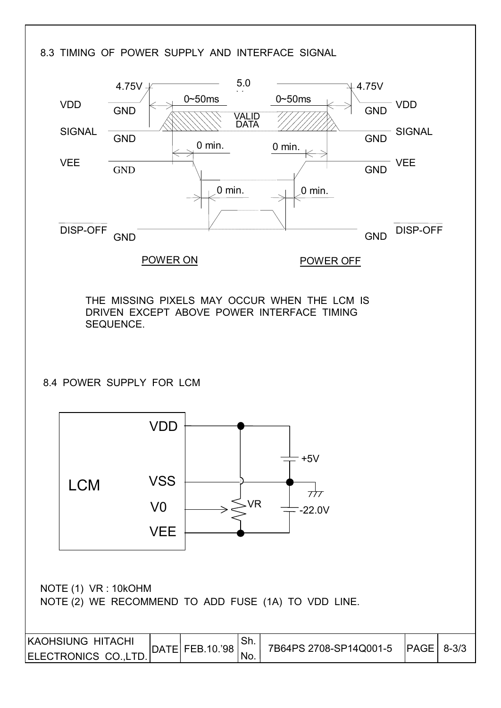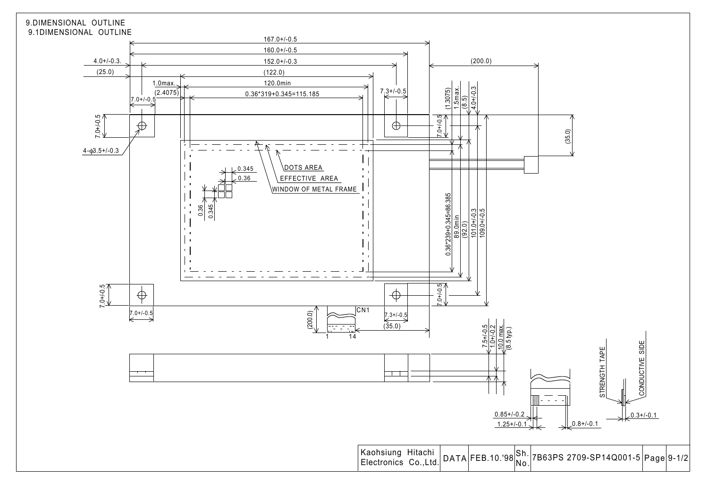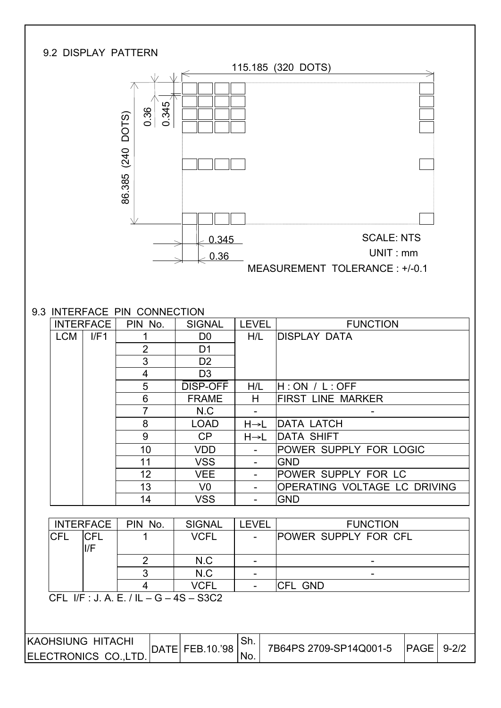| 9.2 DISPLAY PATTERN                       |                                          |                                   |                  |                                                    |
|-------------------------------------------|------------------------------------------|-----------------------------------|------------------|----------------------------------------------------|
|                                           |                                          |                                   |                  | 115.185 (320 DOTS)                                 |
|                                           | 0.345<br>0.36<br>DOTS)<br>(240<br>86.385 |                                   |                  |                                                    |
|                                           |                                          |                                   |                  |                                                    |
|                                           |                                          |                                   |                  | <b>SCALE: NTS</b>                                  |
|                                           |                                          | 0.345                             |                  | UNIT:mm                                            |
|                                           |                                          | 0.36                              |                  | MEASUREMENT TOLERANCE: +/-0.1                      |
|                                           |                                          |                                   |                  |                                                    |
|                                           |                                          |                                   |                  |                                                    |
| 9.3 INTERFACE PIN CONNECTION              |                                          |                                   |                  |                                                    |
| <b>INTERFACE</b>                          | PIN No.                                  | <b>SIGNAL</b>                     | <b>LEVEL</b>     | <b>FUNCTION</b>                                    |
| I/F1<br><b>LCM</b>                        | 1                                        | D <sub>0</sub>                    | H/L              | <b>DISPLAY DATA</b>                                |
|                                           | $\overline{2}$                           | D <sub>1</sub>                    |                  |                                                    |
|                                           | 3                                        | D <sub>2</sub>                    |                  |                                                    |
|                                           | 4                                        | D <sub>3</sub><br><b>DISP-OFF</b> |                  |                                                    |
|                                           | 5<br>$6\phantom{1}6$                     | <b>FRAME</b>                      | H/L<br>H         | H:ON / L:OFF<br><b>FIRST LINE MARKER</b>           |
|                                           | $\overline{7}$                           | N.C                               | $\sim$           |                                                    |
|                                           | 8                                        | <b>LOAD</b>                       | $H\rightarrow L$ | DATA LATCH                                         |
|                                           | 9                                        | CP                                | H→L              | <b>DATA SHIFT</b>                                  |
|                                           | 10                                       | <b>VDD</b>                        |                  | POWER SUPPLY FOR LOGIC                             |
|                                           | 11                                       | <b>VSS</b>                        | $\blacksquare$   | <b>GND</b>                                         |
|                                           | 12                                       | <b>VEE</b>                        | $\blacksquare$   | POWER SUPPLY FOR LC                                |
|                                           | 13                                       | V <sub>0</sub>                    | $\blacksquare$   | OPERATING VOLTAGE LC DRIVING                       |
|                                           | 14                                       | <b>VSS</b>                        | $\blacksquare$   | <b>GND</b>                                         |
| <b>INTERFACE</b>                          | PIN No.                                  | <b>SIGNAL</b>                     | <b>LEVEL</b>     | <b>FUNCTION</b>                                    |
| <b>CFL</b><br><b>CFL</b>                  | 1                                        | <b>VCFL</b>                       |                  | POWER SUPPLY FOR CFL                               |
| I/F                                       |                                          |                                   |                  |                                                    |
|                                           | $\overline{2}$                           | N.C                               |                  |                                                    |
|                                           | $\overline{3}$                           | N.C                               | $\blacksquare$   |                                                    |
|                                           | $\overline{4}$                           | <b>VCFL</b>                       | $\blacksquare$   | CFL GND                                            |
| CFL I/F: J. A. E. / IL - G - 4S - S3C2    |                                          |                                   |                  |                                                    |
| KAOHSIUNG HITACHI<br>ELECTRONICS CO.,LTD. |                                          | DATE FEB.10.'98                   | Sh.<br>No.       | 7B64PS 2709-SP14Q001-5<br><b>PAGE</b><br>$9 - 2/2$ |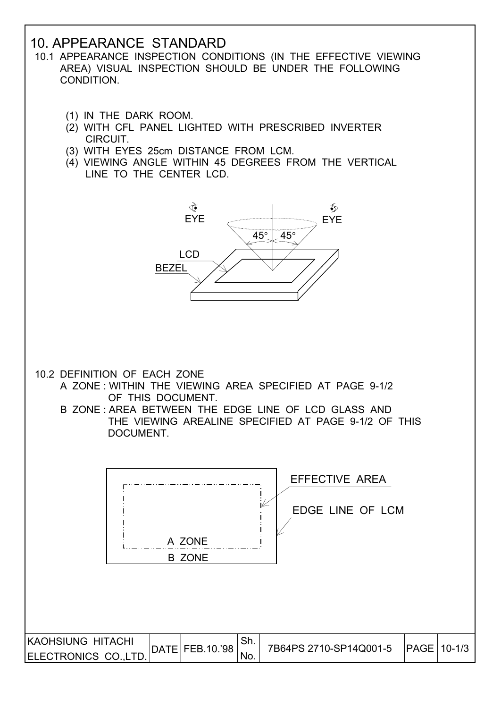### 10. APPEARANCE STANDARD

- 10.1 APPEARANCE INSPECTION CONDITIONS (IN THE EFFECTIVE VIEWING AREA) VISUAL INSPECTION SHOULD BE UNDER THE FOLLOWING CONDITION.
	- (1) IN THE DARK ROOM.
	- (2) WITH CFL PANEL LIGHTED WITH PRESCRIBED INVERTER CIRCUIT.
	- (3) WITH EYES 25cm DISTANCE FROM LCM.
	- (4) VIEWING ANGLE WITHIN 45 DEGREES FROM THE VERTICAL LINE TO THE CENTER LCD.



- 10.2 DEFINITION OF EACH ZONE
	- A ZONE : WITHIN THE VIEWING AREA SPECIFIED AT PAGE 9-1/2 OF THIS DOCUMENT.
	- B ZONE : AREA BETWEEN THE EDGE LINE OF LCD GLASS AND THE VIEWING AREALINE SPECIFIED AT PAGE 9-1/2 OF THIS DOCUMENT.

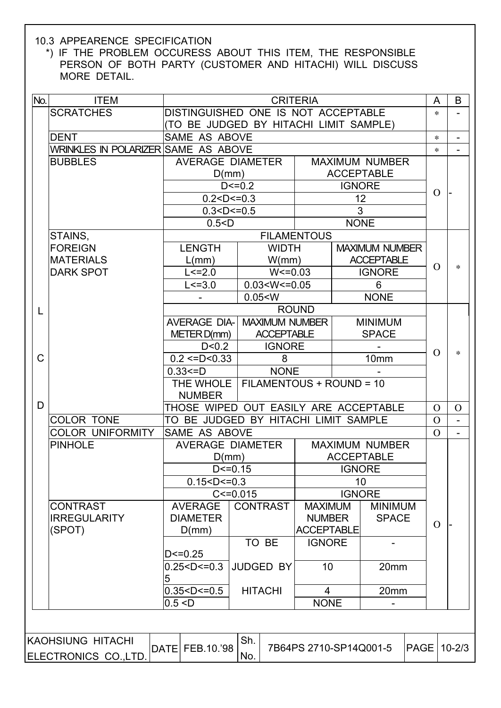#### 10.3 APPEARENCE SPECIFICATION

 \*) IF THE PROBLEM OCCURESS ABOUT THIS ITEM, THE RESPONSIBLE PERSON OF BOTH PARTY (CUSTOMER AND HITACHI) WILL DISCUSS MORE DETAIL.

| No. | <b>ITEM</b>                          |                                        | <b>CRITERIA</b>                            |                        |               |                                    |             |          | B                        |
|-----|--------------------------------------|----------------------------------------|--------------------------------------------|------------------------|---------------|------------------------------------|-------------|----------|--------------------------|
|     | <b>SCRATCHES</b>                     | DISTINGUISHED ONE IS NOT ACCEPTABLE    |                                            |                        |               |                                    |             | ∗        |                          |
|     |                                      | (TO BE JUDGED BY HITACHI LIMIT SAMPLE) |                                            |                        |               |                                    |             |          |                          |
|     | <b>DENT</b>                          | SAME AS ABOVE                          |                                            |                        |               |                                    |             | $\ast$   | $\qquad \qquad -$        |
|     | WRINKLES IN POLARIZER SAME AS ABOVE  |                                        |                                            |                        |               |                                    |             | $\star$  | $\overline{\phantom{0}}$ |
|     | <b>BUBBLES</b>                       |                                        | AVERAGE DIAMETER                           |                        |               | <b>MAXIMUM NUMBER</b>              |             |          |                          |
|     |                                      | D(mm)                                  |                                            |                        |               | <b>ACCEPTABLE</b>                  |             |          |                          |
|     |                                      |                                        | $D < = 0.2$                                |                        | <b>IGNORE</b> |                                    |             | $\Omega$ |                          |
|     |                                      | 0.2 < D < 0.3                          |                                            |                        |               | 12                                 |             |          |                          |
|     |                                      | 0.3 < D < 0.5                          |                                            |                        | 3             |                                    |             |          |                          |
|     |                                      | 0.5 < D                                |                                            |                        | <b>NONE</b>   |                                    |             |          |                          |
|     | STAINS,                              |                                        |                                            | <b>FILAMENTOUS</b>     |               |                                    |             |          |                          |
|     | <b>FOREIGN</b>                       | <b>LENGTH</b>                          | <b>WIDTH</b>                               |                        |               | <b>MAXIMUM NUMBER</b>              |             |          |                          |
|     | <b>MATERIALS</b><br><b>DARK SPOT</b> | L/mm)<br>$L < = 2.0$                   | W/mm)<br>$W < = 0.03$                      |                        |               | <b>ACCEPTABLE</b><br><b>IGNORE</b> |             | $\Omega$ | $\ast$                   |
|     |                                      | $L < = 3.0$                            | 0.03 < W < 0.05                            |                        |               |                                    |             |          |                          |
|     |                                      |                                        | 0.05 < W                                   |                        |               | 6                                  |             |          |                          |
|     |                                      |                                        |                                            |                        |               | <b>NONE</b>                        |             |          |                          |
| L   |                                      | <b>AVERAGE DIA-</b>                    |                                            | <b>ROUND</b>           |               |                                    |             |          |                          |
|     |                                      | METER D(mm)                            | <b>MAXIMUM NUMBER</b><br><b>ACCEPTABLE</b> |                        |               | <b>MINIMUM</b><br><b>SPACE</b>     |             |          |                          |
|     |                                      | D < 0.2                                | <b>IGNORE</b>                              |                        |               |                                    |             |          |                          |
| C   |                                      | $0.2 \leq D \leq 0.33$                 | 8                                          |                        |               | 10mm                               |             | $\Omega$ | $\ast$                   |
|     |                                      | $0.33 = D$                             | <b>NONE</b>                                |                        |               |                                    |             |          |                          |
|     |                                      | THE WHOLE                              | FILAMENTOUS + ROUND = 10                   |                        |               |                                    |             |          |                          |
|     |                                      | <b>NUMBER</b>                          |                                            |                        |               |                                    |             |          |                          |
| D   |                                      | THOSE WIPED OUT EASILY ARE ACCEPTABLE  |                                            |                        |               |                                    |             | $\Omega$ | $\Omega$                 |
|     | <b>COLOR TONE</b>                    | TO BE JUDGED BY HITACHI LIMIT SAMPLE   |                                            |                        |               |                                    |             | $\Omega$ | $\overline{a}$           |
|     | <b>COLOR UNIFORMITY</b>              | <b>SAME AS ABOVE</b>                   |                                            |                        |               |                                    |             | $\Omega$ | $\blacksquare$           |
|     | <b>PINHOLE</b>                       |                                        | AVERAGE DIAMETER                           |                        |               | <b>MAXIMUM NUMBER</b>              |             |          |                          |
|     |                                      | D(mm)                                  |                                            |                        |               | <b>ACCEPTABLE</b>                  |             |          |                          |
|     |                                      |                                        | $D < = 0.15$                               |                        | <b>IGNORE</b> |                                    |             |          |                          |
|     |                                      | $0.15 < D \le 0.3$                     |                                            |                        |               | 10                                 |             |          |                          |
|     |                                      |                                        | C < 0.015                                  |                        | <b>IGNORE</b> |                                    |             |          |                          |
|     | <b>CONTRAST</b>                      | <b>AVERAGE</b>                         | <b>CONTRAST</b>                            | <b>MAXIMUM</b>         |               | <b>MINIMUM</b>                     |             |          |                          |
|     | <b>IRREGULARITY</b>                  | <b>DIAMETER</b>                        |                                            | <b>NUMBER</b>          |               | <b>SPACE</b>                       |             | $\Omega$ |                          |
|     | (SPOT)                               | D(mm)                                  |                                            | <b>ACCEPTABLE</b>      |               |                                    |             |          |                          |
|     |                                      |                                        | TO BE                                      | <b>IGNORE</b>          |               |                                    |             |          |                          |
|     |                                      | $D < = 0.25$                           |                                            |                        |               |                                    |             |          |                          |
|     |                                      | 0.25 < D < 0.3<br>JUDGED BY<br>10      |                                            | 20mm                   |               |                                    |             |          |                          |
|     |                                      | 5                                      |                                            |                        |               |                                    |             |          |                          |
|     |                                      | 0.35 < D < 0.5                         | <b>HITACHI</b>                             | 4                      |               | 20mm                               |             |          |                          |
|     |                                      | 0.5 < D                                |                                            | <b>NONE</b>            |               |                                    |             |          |                          |
|     |                                      |                                        |                                            |                        |               |                                    |             |          |                          |
|     |                                      |                                        | Sh.                                        |                        |               |                                    |             |          |                          |
|     | KAOHSIUNG HITACHI                    | DATE FEB.10.'98                        |                                            | 7B64PS 2710-SP14Q001-5 |               |                                    | <b>PAGE</b> |          | $10 - 2/3$               |
|     | ELECTRONICS CO., LTD.                |                                        | No.                                        |                        |               |                                    |             |          |                          |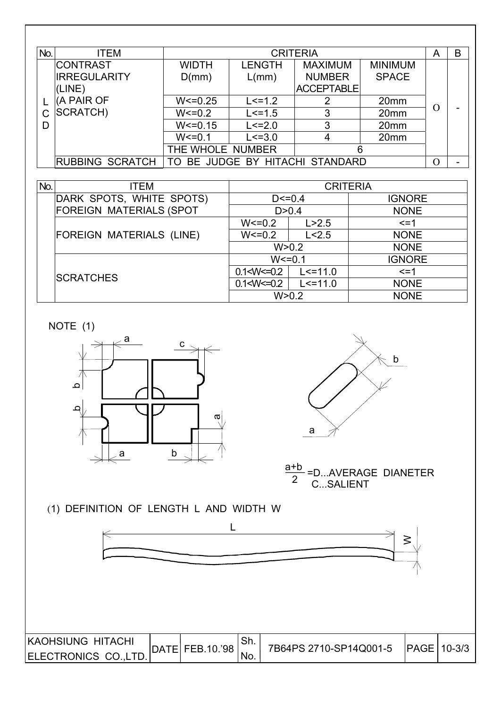| No. | <b>ITEM</b>            |              | B<br><b>CRITERIA</b><br>A |                                 |                  |          |                          |  |  |
|-----|------------------------|--------------|---------------------------|---------------------------------|------------------|----------|--------------------------|--|--|
|     | <b>CONTRAST</b>        | WIDTH        | <b>LENGTH</b>             | <b>MAXIMUM</b>                  | <b>MINIMUM</b>   |          |                          |  |  |
|     | <b>IRREGULARITY</b>    | D(mm)        | L/mm)                     | <b>NUMBER</b>                   | <b>SPACE</b>     |          |                          |  |  |
|     | (LINE)                 |              |                           | <b>ACCEPTABLE</b>               |                  |          |                          |  |  |
|     | (A PAIR OF             | $W < = 0.25$ | $L < = 1.2$               | 2                               | 20 <sub>mm</sub> |          |                          |  |  |
| C   | SCRATCH)               | $W < = 0.2$  | $L < = 1.5$               | 3                               | 20 <sub>mm</sub> | O        |                          |  |  |
| D   |                        | $W < = 0.15$ | $L < = 2.0$               | 3                               | 20 <sub>mm</sub> |          |                          |  |  |
|     |                        | $W < = 0.1$  | $L < = 3.0$               | 4                               | 20 <sub>mm</sub> |          |                          |  |  |
|     |                        |              | THE WHOLE NUMBER<br>6     |                                 |                  |          |                          |  |  |
|     | <b>RUBBING SCRATCH</b> |              |                           | TO BE JUDGE BY HITACHI STANDARD |                  | $\Omega$ | $\overline{\phantom{0}}$ |  |  |

| No. | ITEM                            | <b>CRITERIA</b> |              |               |  |  |
|-----|---------------------------------|-----------------|--------------|---------------|--|--|
|     | DARK SPOTS, WHITE SPOTS)        | $D < = 0.4$     |              | <b>IGNORE</b> |  |  |
|     | <b>FOREIGN MATERIALS (SPOT</b>  |                 | D > 0.4      | <b>NONE</b>   |  |  |
|     |                                 | $W < = 0.2$     | L > 2.5      | $\leq$ = 1    |  |  |
|     | <b>FOREIGN MATERIALS (LINE)</b> | $W < = 0.2$     | L < 2.5      | <b>NONE</b>   |  |  |
|     |                                 |                 | W > 0.2      | <b>NONE</b>   |  |  |
|     |                                 | $W < = 0.1$     |              | <b>IGNORE</b> |  |  |
|     | <b>SCRATCHES</b>                | 0.1 < W < 0.2   | $L < = 11.0$ | $\leq$ = 1    |  |  |
|     |                                 | 0.1 < W < 0.2   | $L < = 11.0$ | <b>NONE</b>   |  |  |
|     |                                 |                 | W > 0.2      | <b>NONE</b>   |  |  |

NOTE (1)





 C...SALIENT  $\frac{a+b}{2}$ =D...AVERAGE DIANETER

(1) DEFINITION OF LENGTH L AND WIDTH W



| <b>IKAOHSIUNG HITACHI</b> |                             |        |                        |              |  |
|---------------------------|-----------------------------|--------|------------------------|--------------|--|
|                           | $ $ DATE $ $ FEB.10.'98 $ $ | . ا اب | 7B64PS 2710-SP14Q001-5 | IPAGE 10-3/3 |  |
| ELECTRONICS CO., LTD.     |                             | 'No.   |                        |              |  |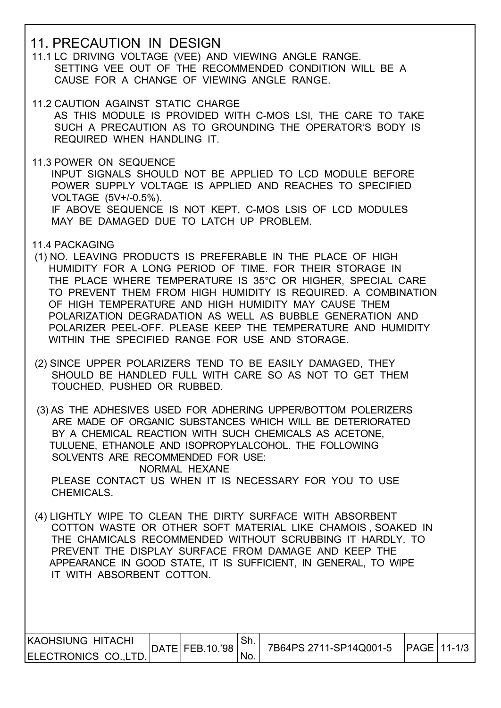#### 11. PRECAUTION IN DESIGN

 11.1 LC DRIVING VOLTAGE (VEE) AND VIEWING ANGLE RANGE. SETTING VEE OUT OF THE RECOMMENDED CONDITION WILL BE A CAUSE FOR A CHANGE OF VIEWING ANGLE RANGE.

- 11.2 CAUTION AGAINST STATIC CHARGE AS THIS MODULE IS PROVIDED WITH C-MOS LSI, THE CARE TO TAKE SUCH A PRECAUTION AS TO GROUNDING THE OPERATOR'S BODY IS REQUIRED WHEN HANDLING IT.
- 11.3 POWER ON SEQUENCE INPUT SIGNALS SHOULD NOT BE APPLIED TO LCD MODULE BEFORE POWER SUPPLY VOLTAGE IS APPLIED AND REACHES TO SPECIFIED VOLTAGE (5V+/-0.5%). IF ABOVE SEQUENCE IS NOT KEPT, C-MOS LSIS OF LCD MODULES MAY BE DAMAGED DUE TO LATCH UP PROBLEM.
- 11.4 PACKAGING
- (1) NO. LEAVING PRODUCTS IS PREFERABLE IN THE PLACE OF HIGH HUMIDITY FOR A LONG PERIOD OF TIME. FOR THEIR STORAGE IN THE PLACE WHERE TEMPERATURE IS 35°C OR HIGHER, SPECIAL CARE TO PREVENT THEM FROM HIGH HUMIDITY IS REQUIRED. A COMBINATION OF HIGH TEMPERATURE AND HIGH HUMIDITY MAY CAUSE THEM POLARIZATION DEGRADATION AS WELL AS BUBBLE GENERATION AND POLARIZER PEEL-OFF. PLEASE KEEP THE TEMPERATURE AND HUMIDITY WITHIN THE SPECIFIED RANGE FOR USE AND STORAGE.
- (2) SINCE UPPER POLARIZERS TEND TO BE EASILY DAMAGED, THEY SHOULD BE HANDLED FULL WITH CARE SO AS NOT TO GET THEM TOUCHED, PUSHED OR RUBBED.

(3) AS THE ADHESIVES USED FOR ADHERING UPPER/BOTTOM POLERIZERS ARE MADE OF ORGANIC SUBSTANCES WHICH WILL BE DETERIORATED BY A CHEMICAL REACTION WITH SUCH CHEMICALS AS ACETONE, TULUENE, ETHANOLE AND ISOPROPYLALCOHOL. THE FOLLOWING SOLVENTS ARE RECOMMENDED FOR USE: NORMAL HEXANE

 PLEASE CONTACT US WHEN IT IS NECESSARY FOR YOU TO USE CHEMICALS.

 (4) LIGHTLY WIPE TO CLEAN THE DIRTY SURFACE WITH ABSORBENT COTTON WASTE OR OTHER SOFT MATERIAL LIKE CHAMOIS , SOAKED IN THE CHAMICALS RECOMMENDED WITHOUT SCRUBBING IT HARDLY. TO PREVENT THE DISPLAY SURFACE FROM DAMAGE AND KEEP THE APPEARANCE IN GOOD STATE, IT IS SUFFICIENT, IN GENERAL, TO WIPE IT WITH ABSORBENT COTTON.

| IKAOHSIUNG HITACHI    | DATE  FEB.10.'98 |      | 7B64PS 2711-SP14Q001-5 | $IPAGE$ 11-1/3 |  |
|-----------------------|------------------|------|------------------------|----------------|--|
| ELECTRONICS CO., LTD. |                  | 'No. |                        |                |  |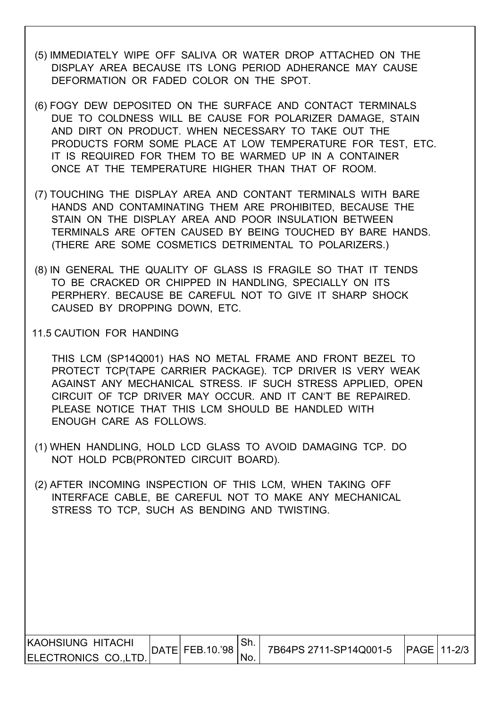- (5) IMMEDIATELY WIPE OFF SALIVA OR WATER DROP ATTACHED ON THE DISPLAY AREA BECAUSE ITS LONG PERIOD ADHERANCE MAY CAUSE DEFORMATION OR FADED COLOR ON THE SPOT.
- (6) FOGY DEW DEPOSITED ON THE SURFACE AND CONTACT TERMINALS DUE TO COLDNESS WILL BE CAUSE FOR POLARIZER DAMAGE, STAIN AND DIRT ON PRODUCT. WHEN NECESSARY TO TAKE OUT THE PRODUCTS FORM SOME PLACE AT LOW TEMPERATURE FOR TEST, ETC. IT IS REQUIRED FOR THEM TO BE WARMED UP IN A CONTAINER ONCE AT THE TEMPERATURE HIGHER THAN THAT OF ROOM.
- (7) TOUCHING THE DISPLAY AREA AND CONTANT TERMINALS WITH BARE HANDS AND CONTAMINATING THEM ARE PROHIBITED, BECAUSE THE STAIN ON THE DISPLAY AREA AND POOR INSULATION BETWEEN TERMINALS ARE OFTEN CAUSED BY BEING TOUCHED BY BARE HANDS. (THERE ARE SOME COSMETICS DETRIMENTAL TO POLARIZERS.)
- (8) IN GENERAL THE QUALITY OF GLASS IS FRAGILE SO THAT IT TENDS TO BE CRACKED OR CHIPPED IN HANDLING, SPECIALLY ON ITS PERPHERY. BECAUSE BE CAREFUL NOT TO GIVE IT SHARP SHOCK CAUSED BY DROPPING DOWN, ETC.
- 11.5 CAUTION FOR HANDING

 THIS LCM (SP14Q001) HAS NO METAL FRAME AND FRONT BEZEL TO PROTECT TCP(TAPE CARRIER PACKAGE). TCP DRIVER IS VERY WEAK AGAINST ANY MECHANICAL STRESS. IF SUCH STRESS APPLIED, OPEN CIRCUIT OF TCP DRIVER MAY OCCUR. AND IT CAN'T BE REPAIRED. PLEASE NOTICE THAT THIS LCM SHOULD BE HANDLED WITH ENOUGH CARE AS FOLLOWS.

- (1) WHEN HANDLING, HOLD LCD GLASS TO AVOID DAMAGING TCP. DO NOT HOLD PCB(PRONTED CIRCUIT BOARD).
- (2) AFTER INCOMING INSPECTION OF THIS LCM, WHEN TAKING OFF INTERFACE CABLE, BE CAREFUL NOT TO MAKE ANY MECHANICAL STRESS TO TCP, SUCH AS BENDING AND TWISTING.

| <b>IKAOHSIUNG HITACHI</b> |                 |                        | PAGE   11-2/3 |
|---------------------------|-----------------|------------------------|---------------|
| ELECTRONICS CO.,LTD.      | DATE FEB.10.'98 | 7B64PS 2711-SP14Q001-5 |               |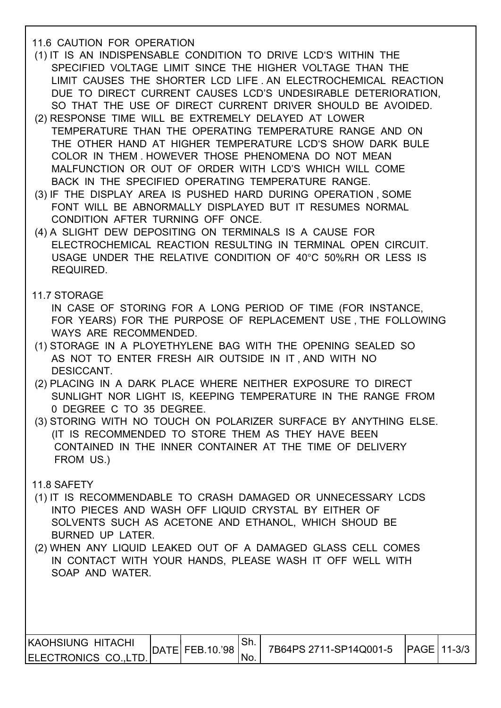#### 11.6 CAUTION FOR OPERATION

- (1) IT IS AN INDISPENSABLE CONDITION TO DRIVE LCD'S WITHIN THE SPECIFIED VOLTAGE LIMIT SINCE THE HIGHER VOLTAGE THAN THE LIMIT CAUSES THE SHORTER LCD LIFE . AN ELECTROCHEMICAL REACTION DUE TO DIRECT CURRENT CAUSES LCD'S UNDESIRABLE DETERIORATION, SO THAT THE USE OF DIRECT CURRENT DRIVER SHOULD BE AVOIDED.
- (2) RESPONSE TIME WILL BE EXTREMELY DELAYED AT LOWER TEMPERATURE THAN THE OPERATING TEMPERATURE RANGE AND ON THE OTHER HAND AT HIGHER TEMPERATURE LCD'S SHOW DARK BULE COLOR IN THEM . HOWEVER THOSE PHENOMENA DO NOT MEAN MALFUNCTION OR OUT OF ORDER WITH LCD'S WHICH WILL COME BACK IN THE SPECIFIED OPERATING TEMPERATURE RANGE.
- (3) IF THE DISPLAY AREA IS PUSHED HARD DURING OPERATION , SOME FONT WILL BE ABNORMALLY DISPLAYED BUT IT RESUMES NORMAL CONDITION AFTER TURNING OFF ONCE.
- (4) A SLIGHT DEW DEPOSITING ON TERMINALS IS A CAUSE FOR ELECTROCHEMICAL REACTION RESULTING IN TERMINAL OPEN CIRCUIT. USAGE UNDER THE RELATIVE CONDITION OF 40°C 50%RH OR LESS IS REQUIRED.

11.7 STORAGE

 IN CASE OF STORING FOR A LONG PERIOD OF TIME (FOR INSTANCE, FOR YEARS) FOR THE PURPOSE OF REPLACEMENT USE , THE FOLLOWING WAYS ARE RECOMMENDED.

- (1) STORAGE IN A PLOYETHYLENE BAG WITH THE OPENING SEALED SO AS NOT TO ENTER FRESH AIR OUTSIDE IN IT , AND WITH NO DESICCANT.
- (2) PLACING IN A DARK PLACE WHERE NEITHER EXPOSURE TO DIRECT SUNLIGHT NOR LIGHT IS, KEEPING TEMPERATURE IN THE RANGE FROM 0 DEGREE C TO 35 DEGREE.
- (3) STORING WITH NO TOUCH ON POLARIZER SURFACE BY ANYTHING ELSE. (IT IS RECOMMENDED TO STORE THEM AS THEY HAVE BEEN CONTAINED IN THE INNER CONTAINER AT THE TIME OF DELIVERY FROM US.)

11.8 SAFETY

- (1) IT IS RECOMMENDABLE TO CRASH DAMAGED OR UNNECESSARY LCDS INTO PIECES AND WASH OFF LIQUID CRYSTAL BY EITHER OF SOLVENTS SUCH AS ACETONE AND ETHANOL, WHICH SHOUD BE BURNED UP LATER.
- (2) WHEN ANY LIQUID LEAKED OUT OF A DAMAGED GLASS CELL COMES IN CONTACT WITH YOUR HANDS, PLEASE WASH IT OFF WELL WITH SOAP AND WATER.

| KAOHSIUNG HITACHI    |                     | 7B64PS 2711-SP14Q001-5   PAGE 11-3/3 |  |
|----------------------|---------------------|--------------------------------------|--|
| ELECTRONICS CO.,LTD. | $ $ DATE FEB.10.'98 |                                      |  |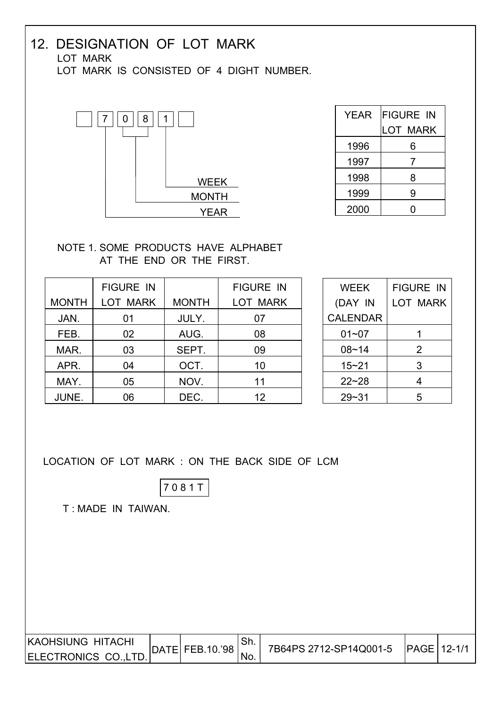#### 12. DESIGNATION OF LOT MARK LOT MARK LOT MARK IS CONSISTED OF 4 DIGHT NUMBER.



| YEAR | <b>FIGURE IN</b> |
|------|------------------|
|      | LOT MARK         |
| 1996 | 6                |
| 1997 | 7                |
| 1998 | 8                |
| 1999 | 9                |
| 2000 |                  |

#### NOTE 1. SOME PRODUCTS HAVE ALPHABET AT THE END OR THE FIRST.

|              | <b>FIGURE IN</b> |              | <b>FIGURE IN</b> |
|--------------|------------------|--------------|------------------|
| <b>MONTH</b> | <b>LOT MARK</b>  | <b>MONTH</b> | LOT MARK         |
| JAN.         | 01               | JULY.        | 07               |
| FEB.         | 02               | AUG.         | 08               |
| MAR.         | 03               | SEPT.        | 09               |
| APR.         | 04               | OCT.         | 10               |
| MAY.         | 05               | NOV.         | 11               |
| JUNE.        | 06               | DEC.         | 12               |

| <b>WEEK</b>     | <b>FIGURE IN</b> |
|-----------------|------------------|
| (DAY IN         | LOT MARK         |
| <b>CALENDAR</b> |                  |
| 01~07           | 1                |
| $08 - 14$       | 2                |
| $15 - 21$       | 3                |
| $22 - 28$       | 4                |
| $29 - 31$       | 5                |

LOCATION OF LOT MARK : ON THE BACK SIDE OF LCM



T : MADE IN TAIWAN.

| <b>KAOHSIUNG HITACHI</b> |  | $ $ DATE $ $ FEB.10.'98 | <b>Ch</b><br>.ו וכ | 7B64PS 2712-SP14Q001-5 | <b>IPAGE 12-1/1</b> |  |
|--------------------------|--|-------------------------|--------------------|------------------------|---------------------|--|
| ELECTRONICS CO., LTD.    |  |                         | NO.                |                        |                     |  |